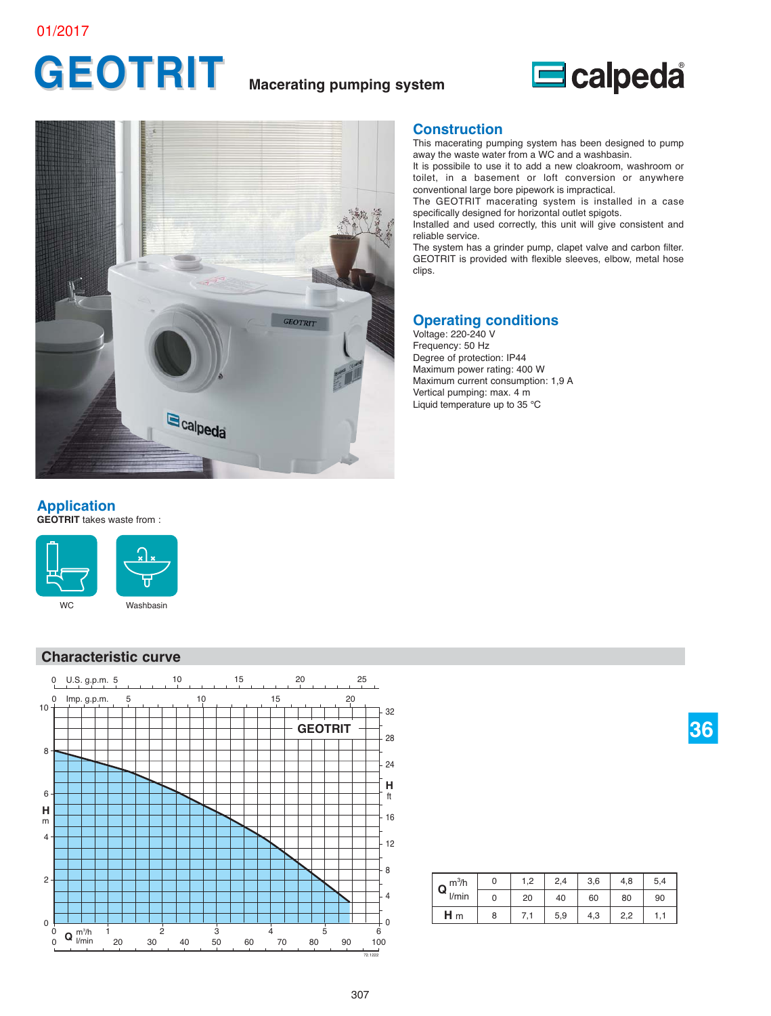# **GEOTRIT Macerating pumping system**





#### **Construction**

This macerating pumping system has been designed to pump away the waste water from a WC and a washbasin.

It is possibile to use it to add a new cloakroom, washroom or toilet, in a basement or loft conversion or anywhere conventional large bore pipework is impractical.

The GEOTRIT macerating system is installed in a case specifically designed for horizontal outlet spigots.

Installed and used correctly, this unit will give consistent and reliable service.

The system has a grinder pump, clapet valve and carbon filter. GEOTRIT is provided with flexible sleeves, elbow, metal hose clips.

### **Operating conditions**

Voltage: 220-240 V Frequency: 50 Hz Degree of protection: IP44 Maximum power rating: 400 W Maximum current consumption: 1,9 A Vertical pumping: max. 4 m Liquid temperature up to 35 °C

### **Application**

**GEOTRIT** takes waste from : 



#### **Characteristic curve**



| m <sup>3</sup> /h<br>Q | 0 | 1,2 | 2,4 | 3,6 | 4,8 | 5,4 |
|------------------------|---|-----|-----|-----|-----|-----|
| l/min                  | 0 | 20  | 40  | 60  | 80  | 90  |
| H <sub>m</sub>         | 8 | 7,1 | 5,9 | 4,3 | 2,2 |     |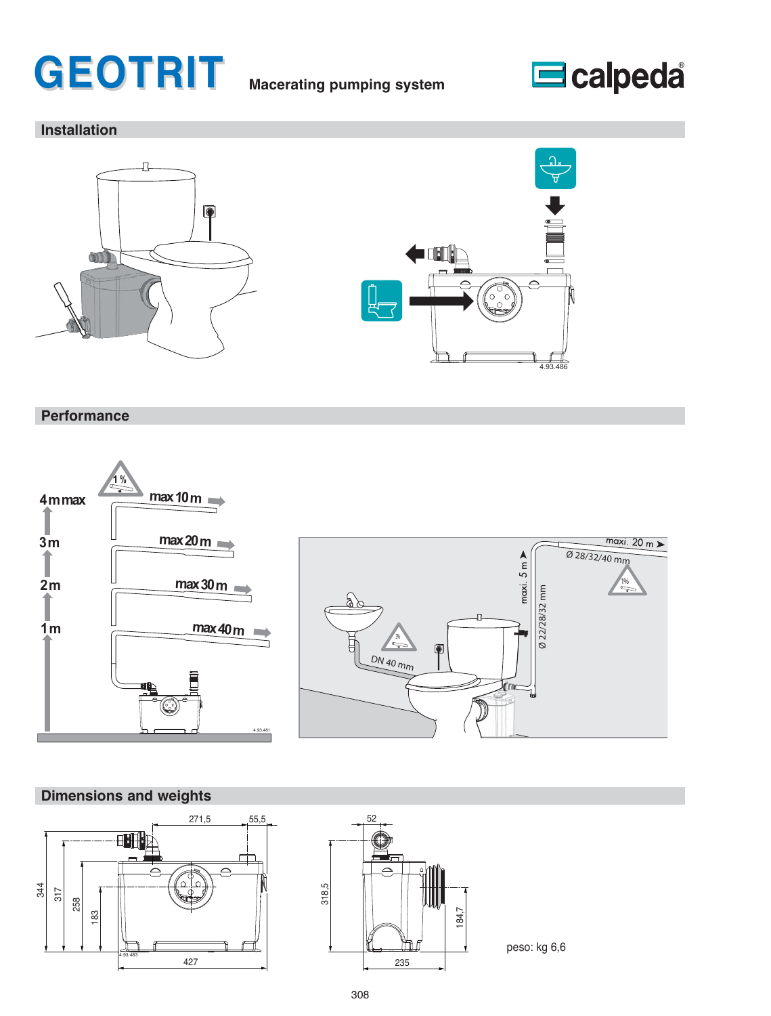# **GEOTRIT Macerating pumping system**



# **Installation**





### **Performance**



### **Dimensions and weights**





peso: kg 6,6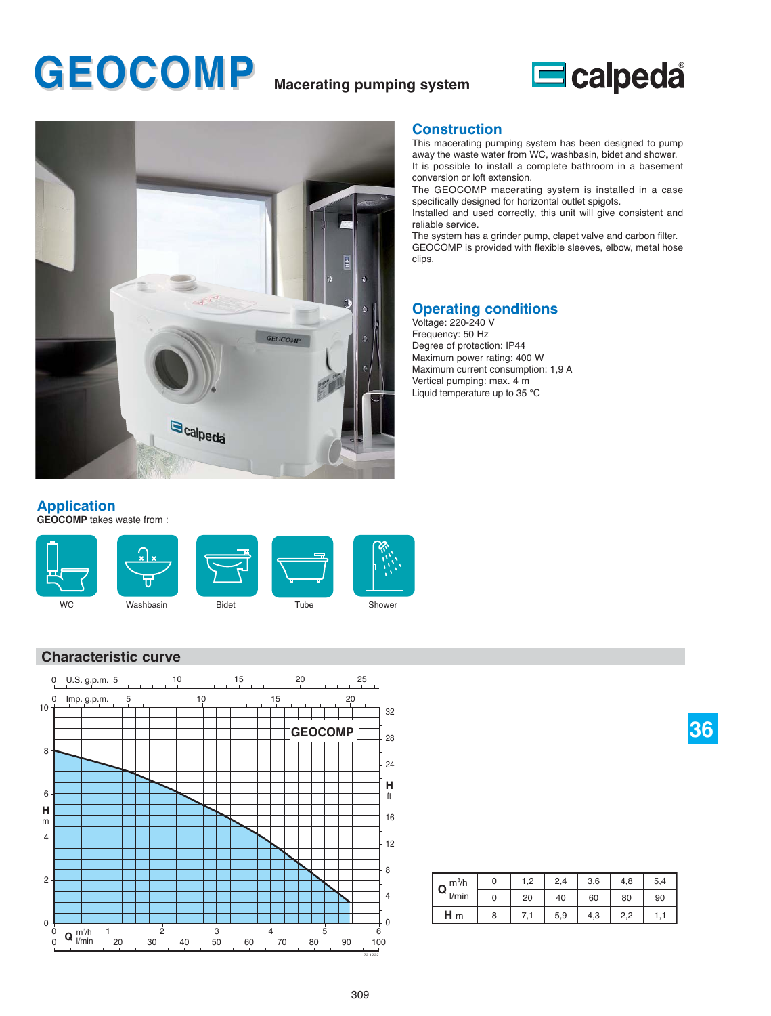# **GEOCOMP Macerating pumping system**





#### **Construction**

This macerating pumping system has been designed to pump away the waste water from WC, washbasin, bidet and shower. It is possible to install a complete bathroom in a basement

conversion or loft extension. The GEOCOMP macerating system is installed in a case

specifically designed for horizontal outlet spigots.

Installed and used correctly, this unit will give consistent and reliable service.

The system has a grinder pump, clapet valve and carbon filter. GEOCOMP is provided with flexible sleeves, elbow, metal hose clips.

#### **Operating conditions**

Voltage: 220-240 V Frequency: 50 Hz Degree of protection: IP44 Maximum power rating: 400 W Maximum current consumption: 1,9 A Vertical pumping: max. 4 m Liquid temperature up to 35 °C

### **Application**

**GEOCOMP** takes waste from : 



#### **Characteristic curve**



| m <sup>3</sup> /h | 0 | 1,2        | 2,4 | 3,6 | 4,8 | 5,4 |
|-------------------|---|------------|-----|-----|-----|-----|
| Q<br>l/min        | 0 | 20         | 40  | 60  | 80  | 90  |
| $H_m$             | 8 | $\sqrt{2}$ | 5,9 | 4,3 | 2.2 |     |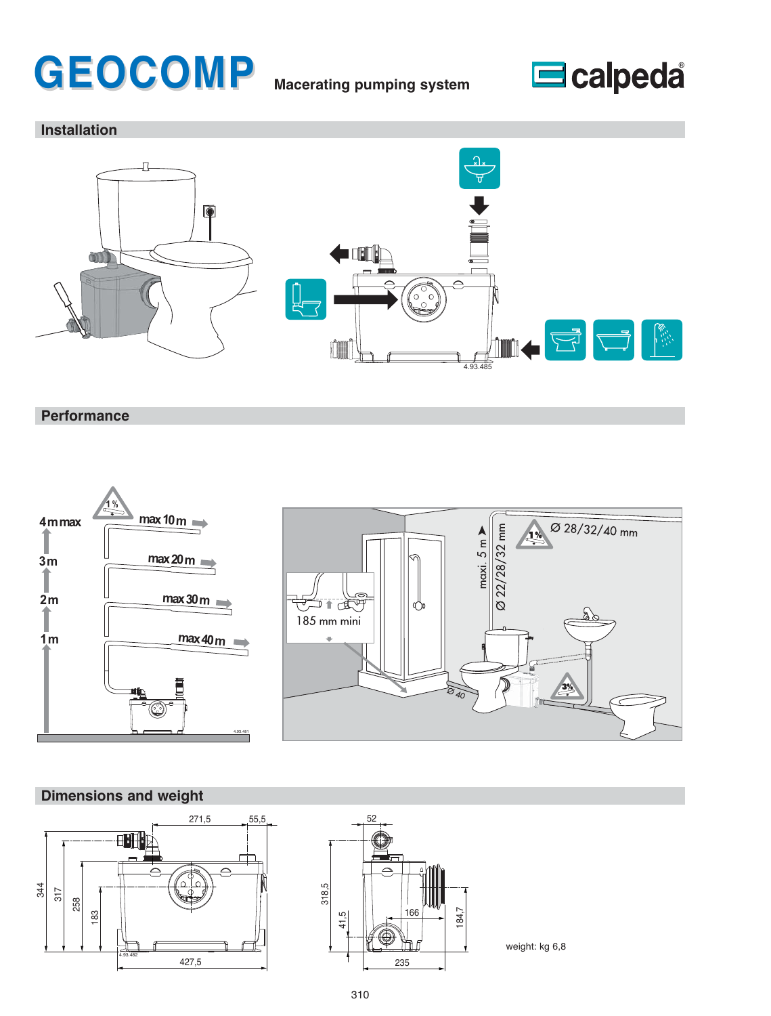# **GEOCOMP Macerating pumping system**



## **Installation**



**Performance**





## **Dimensions and weight**





peso: kg 6,6 weight: kg 6,8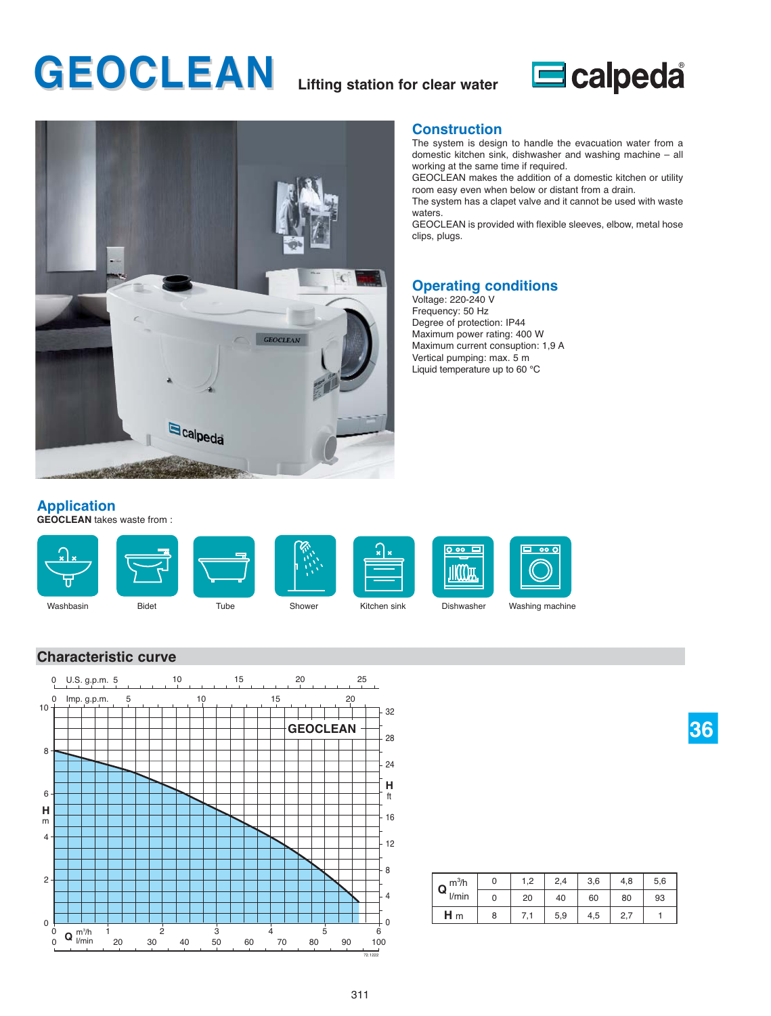# **GEOCLEAN Lifting station for clear water**





#### **Construction**

The system is design to handle the evacuation water from a domestic kitchen sink, dishwasher and washing machine – all working at the same time if required.

GEOCLEAN makes the addition of a domestic kitchen or utility room easy even when below or distant from a drain.

The system has a clapet valve and it cannot be used with waste waters.

GEOCLEAN is provided with flexible sleeves, elbow, metal hose clips, plugs.

# **Operating conditions**

Voltage: 220-240 V Frequency: 50 Hz Degree of protection: IP44 Maximum power rating: 400 W Maximum current consuption: 1,9 A Vertical pumping: max. 5 m Liquid temperature up to 60 °C

### **Application**

**GEOCLEAN** takes waste from : 



#### **Characteristic curve**



| m <sup>3</sup> /h<br>Q | 0 | 1,2 | 2,4 | 3,6 | 4,8 | 5,6 |
|------------------------|---|-----|-----|-----|-----|-----|
| l/min                  | 0 | 20  | 40  | 60  | 80  | 93  |
| $H_m$                  | 8 | 7,1 | 5,9 | 4,5 | 2,7 |     |